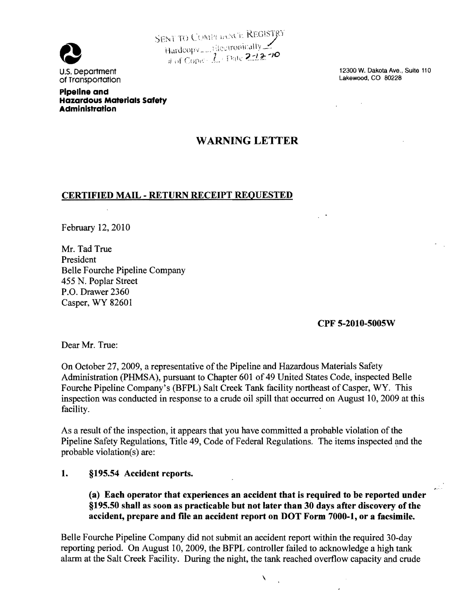

SENT TO COMPLIANCE REGISTRY Hardcopy Hardcopy 1 Rectronically<br>
and Copie 2.12-10<br>
U.S. Department 12300 W. Dakota Ave., Suite 110<br>
of Transportation<br>
Lakewood, CO 80228

of Transportation pipeline and

Hazardous Materials Safety Administration

## WARNING LETTER

## CERTIFIED MAIL - RETURN RECEIPT REQUESTED

February 12,2010

Mr. Tad True President Belle Fourche Pipeline Company 455 N. Poplar Street P.O. Drawer 2360 Casper, WY 82601

CPF 5-2010-5005W

 $\epsilon$ 

Dear Mr. True:

On October 27, 2009, a representative of the Pipeline and Hazardous Materials Safety Administration (PHMSA), pursuant to Chapter 601 of 49 United States Code, inspected Belle Fourche Pipeline Company's (BFPL) Salt Creek Tank facility northeast of Casper, WY. This inspection was conducted in response to a crude oil spill that occurred on August 10,2009 at this facility.

As a result of the inspection, it appears that you have committed a probable violation of the Pipeline Safety Regulations, Title 49, Code of Federal Regulations. The items inspected and the probable violation(s) are:

## 1. §195.54 Accident reports.

(a) Each operator that experiences an accident that is required to be reported under §195.50 shall as soon as practicable but not later than 30 days after discovery of the accident, prepare and file an accident report on DOT Form 7000-1, or a facsimile.

 $\checkmark$ 

Belle Fourche Pipeline Company did not submit an accident report within the required 30-day reporting period. On August 10, 2009, the BFPL controller failed to acknowledge a high tank alarm at the Salt Creek Facility. During the night, the tank reached overflow capacity and crude